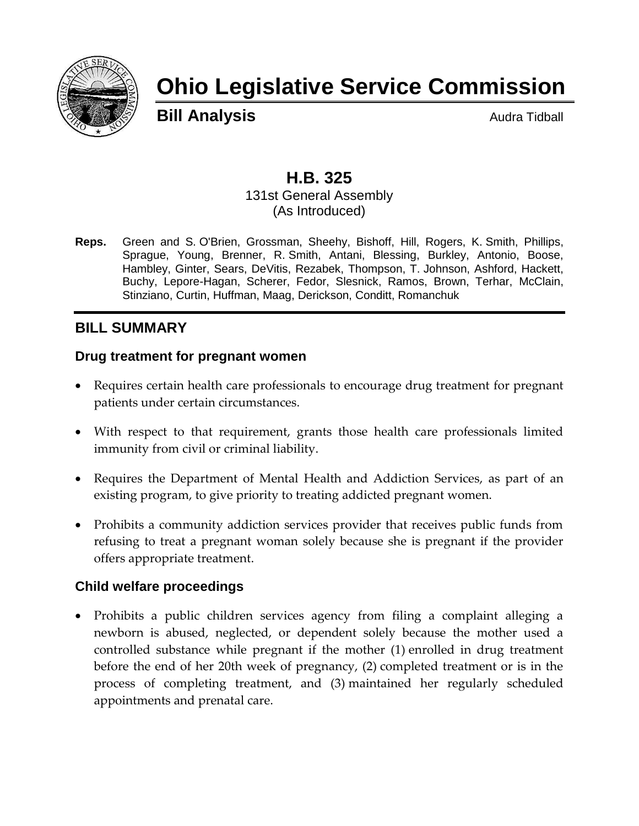

# **Ohio Legislative Service Commission**

**Bill Analysis Audra Tidball** 

## **H.B. 325**

131st General Assembly (As Introduced)

**Reps.** Green and S. O'Brien, Grossman, Sheehy, Bishoff, Hill, Rogers, K. Smith, Phillips, Sprague, Young, Brenner, R. Smith, Antani, Blessing, Burkley, Antonio, Boose, Hambley, Ginter, Sears, DeVitis, Rezabek, Thompson, T. Johnson, Ashford, Hackett, Buchy, Lepore-Hagan, Scherer, Fedor, Slesnick, Ramos, Brown, Terhar, McClain, Stinziano, Curtin, Huffman, Maag, Derickson, Conditt, Romanchuk

## **BILL SUMMARY**

## **Drug treatment for pregnant women**

- Requires certain health care professionals to encourage drug treatment for pregnant patients under certain circumstances.
- With respect to that requirement, grants those health care professionals limited immunity from civil or criminal liability.
- Requires the Department of Mental Health and Addiction Services, as part of an existing program, to give priority to treating addicted pregnant women.
- Prohibits a community addiction services provider that receives public funds from refusing to treat a pregnant woman solely because she is pregnant if the provider offers appropriate treatment.

#### **Child welfare proceedings**

 Prohibits a public children services agency from filing a complaint alleging a newborn is abused, neglected, or dependent solely because the mother used a controlled substance while pregnant if the mother (1) enrolled in drug treatment before the end of her 20th week of pregnancy, (2) completed treatment or is in the process of completing treatment, and (3) maintained her regularly scheduled appointments and prenatal care.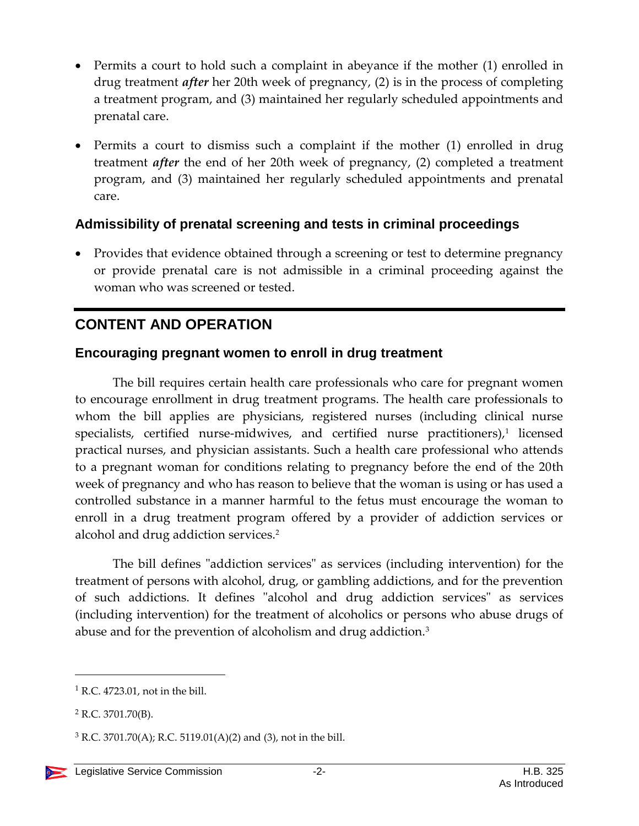- Permits a court to hold such a complaint in abeyance if the mother (1) enrolled in drug treatment *after* her 20th week of pregnancy, (2) is in the process of completing a treatment program, and (3) maintained her regularly scheduled appointments and prenatal care.
- Permits a court to dismiss such a complaint if the mother (1) enrolled in drug treatment *after* the end of her 20th week of pregnancy, (2) completed a treatment program, and (3) maintained her regularly scheduled appointments and prenatal care.

## **Admissibility of prenatal screening and tests in criminal proceedings**

• Provides that evidence obtained through a screening or test to determine pregnancy or provide prenatal care is not admissible in a criminal proceeding against the woman who was screened or tested.

## **CONTENT AND OPERATION**

#### **Encouraging pregnant women to enroll in drug treatment**

The bill requires certain health care professionals who care for pregnant women to encourage enrollment in drug treatment programs. The health care professionals to whom the bill applies are physicians, registered nurses (including clinical nurse specialists, certified nurse-midwives, and certified nurse practitioners), 1 licensed practical nurses, and physician assistants. Such a health care professional who attends to a pregnant woman for conditions relating to pregnancy before the end of the 20th week of pregnancy and who has reason to believe that the woman is using or has used a controlled substance in a manner harmful to the fetus must encourage the woman to enroll in a drug treatment program offered by a provider of addiction services or alcohol and drug addiction services.<sup>2</sup>

The bill defines "addiction services" as services (including intervention) for the treatment of persons with alcohol, drug, or gambling addictions, and for the prevention of such addictions. It defines "alcohol and drug addiction services" as services (including intervention) for the treatment of alcoholics or persons who abuse drugs of abuse and for the prevention of alcoholism and drug addiction.<sup>3</sup>

 $\overline{a}$ 

 $<sup>1</sup>$  R.C. 4723.01, not in the bill.</sup>

<sup>2</sup> R.C. 3701.70(B).

 $3$  R.C. 3701.70(A); R.C. 5119.01(A)(2) and (3), not in the bill.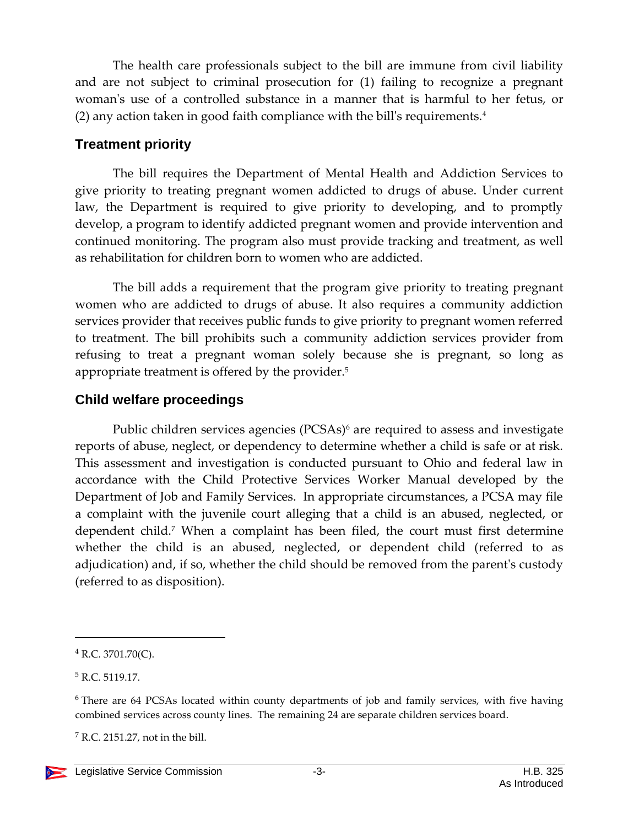The health care professionals subject to the bill are immune from civil liability and are not subject to criminal prosecution for (1) failing to recognize a pregnant woman's use of a controlled substance in a manner that is harmful to her fetus, or (2) any action taken in good faith compliance with the bill's requirements.<sup>4</sup>

## **Treatment priority**

The bill requires the Department of Mental Health and Addiction Services to give priority to treating pregnant women addicted to drugs of abuse. Under current law, the Department is required to give priority to developing, and to promptly develop, a program to identify addicted pregnant women and provide intervention and continued monitoring. The program also must provide tracking and treatment, as well as rehabilitation for children born to women who are addicted.

The bill adds a requirement that the program give priority to treating pregnant women who are addicted to drugs of abuse. It also requires a community addiction services provider that receives public funds to give priority to pregnant women referred to treatment. The bill prohibits such a community addiction services provider from refusing to treat a pregnant woman solely because she is pregnant, so long as appropriate treatment is offered by the provider.<sup>5</sup>

## **Child welfare proceedings**

Public children services agencies (PCSAs)<sup>6</sup> are required to assess and investigate reports of abuse, neglect, or dependency to determine whether a child is safe or at risk. This assessment and investigation is conducted pursuant to Ohio and federal law in accordance with the Child Protective Services Worker Manual developed by the Department of Job and Family Services. In appropriate circumstances, a PCSA may file a complaint with the juvenile court alleging that a child is an abused, neglected, or dependent child.<sup>7</sup> When a complaint has been filed, the court must first determine whether the child is an abused, neglected, or dependent child (referred to as adjudication) and, if so, whether the child should be removed from the parent's custody (referred to as disposition).

 $\overline{a}$ 

<sup>4</sup> R.C. 3701.70(C).

<sup>5</sup> R.C. 5119.17.

<sup>6</sup> There are 64 PCSAs located within county departments of job and family services, with five having combined services across county lines. The remaining 24 are separate children services board.

 $<sup>7</sup>$  R.C. 2151.27, not in the bill.</sup>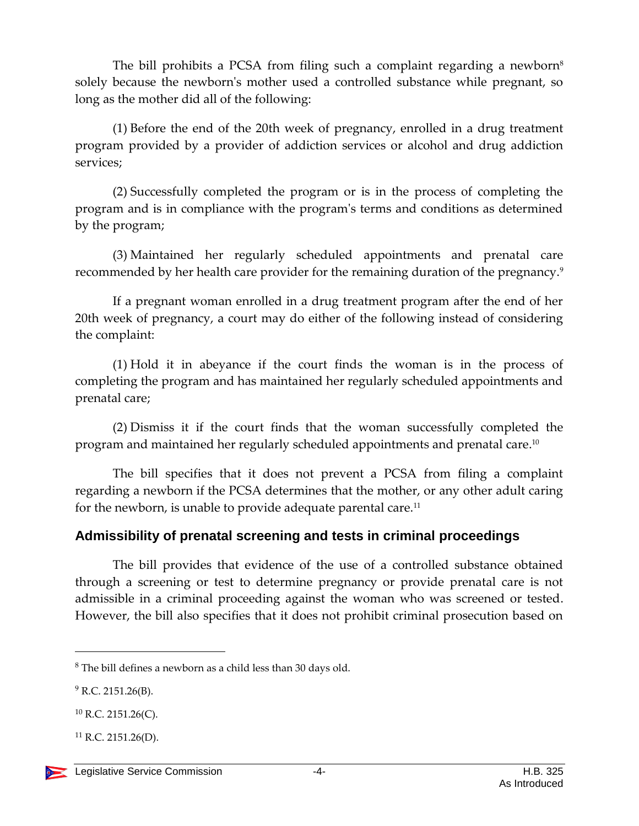The bill prohibits a PCSA from filing such a complaint regarding a newborn<sup>8</sup> solely because the newborn's mother used a controlled substance while pregnant, so long as the mother did all of the following:

(1) Before the end of the 20th week of pregnancy, enrolled in a drug treatment program provided by a provider of addiction services or alcohol and drug addiction services;

(2) Successfully completed the program or is in the process of completing the program and is in compliance with the program's terms and conditions as determined by the program;

(3) Maintained her regularly scheduled appointments and prenatal care recommended by her health care provider for the remaining duration of the pregnancy.<sup>9</sup>

If a pregnant woman enrolled in a drug treatment program after the end of her 20th week of pregnancy, a court may do either of the following instead of considering the complaint:

(1) Hold it in abeyance if the court finds the woman is in the process of completing the program and has maintained her regularly scheduled appointments and prenatal care;

(2) Dismiss it if the court finds that the woman successfully completed the program and maintained her regularly scheduled appointments and prenatal care. $^{\rm 10}$ 

The bill specifies that it does not prevent a PCSA from filing a complaint regarding a newborn if the PCSA determines that the mother, or any other adult caring for the newborn, is unable to provide adequate parental care.<sup>11</sup>

## **Admissibility of prenatal screening and tests in criminal proceedings**

The bill provides that evidence of the use of a controlled substance obtained through a screening or test to determine pregnancy or provide prenatal care is not admissible in a criminal proceeding against the woman who was screened or tested. However, the bill also specifies that it does not prohibit criminal prosecution based on

 $\overline{a}$ 

 $8$  The bill defines a newborn as a child less than 30 days old.

 $9$  R.C. 2151.26(B).

 $^{10}$  R.C. 2151.26(C).

 $^{11}$  R.C. 2151.26(D).